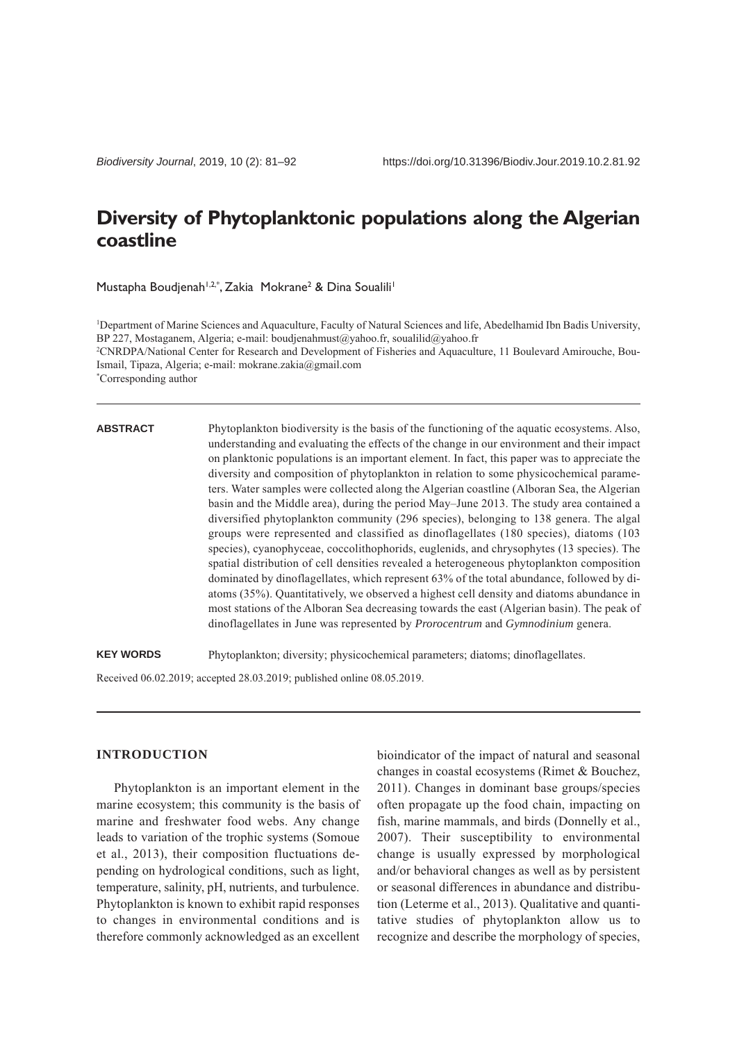# **Diversity of Phytoplanktonic populations along the Algerian coastline**

Mustapha Boudjenah<sup>1,2,\*</sup>, Zakia Mokrane<sup>2</sup> & Dina Soualili<sup>1</sup>

<sup>1</sup>Department of Marine Sciences and Aquaculture, Faculty of Natural Sciences and life, Abedelhamid Ibn Badis University, BP 227, Mostaganem, Algeria; e-mail: boudjenahmust@yahoo.fr, soualilid@yahoo.fr

2 CNRDPA/National Center for Research and Development of Fisheries and Aquaculture, 11 Boulevard Amirouche, Bou-Ismail, Tipaza, Algeria; e-mail: mokrane.zakia@gmail.com

\* Corresponding author

#### **ABSTRACT**

Phytoplankton biodiversity is the basis of the functioning of the aquatic ecosystems. Also, understanding and evaluating the effects of the change in our environment and their impact on planktonic populations is an important element. In fact, this paper was to appreciate the diversity and composition of phytoplankton in relation to some physicochemical parameters. Water samples were collected along the Algerian coastline (Alboran Sea, the Algerian basin and the Middle area), during the period May–June 2013. The study area contained a diversified phytoplankton community (296 species), belonging to 138 genera. The algal groups were represented and classified as dinoflagellates (180 species), diatoms (103 species), cyanophyceae, coccolithophorids, euglenids, and chrysophytes (13 species). The spatial distribution of cell densities revealed a heterogeneous phytoplankton composition dominated by dinoflagellates, which represent 63% of the total abundance, followed by diatoms (35%). Quantitatively, we observed a highest cell density and diatoms abundance in most stations of the Alboran Sea decreasing towards the east (Algerian basin). The peak of dinoflagellates in June was represented by *Prorocentrum* and *Gymnodinium* genera.

**KEY WORDS** Phytoplankton; diversity; physicochemical parameters; diatoms; dinoflagellates.

Received 06.02.2019; accepted 28.03.2019; published online 08.05.2019.

# **INTRODUCTION**

Phytoplankton is an important element in the marine ecosystem; this community is the basis of marine and freshwater food webs. Any change leads to variation of the trophic systems (Somoue et al., 2013), their composition fluctuations depending on hydrological conditions, such as light, temperature, salinity, pH, nutrients, and turbulence. Phytoplankton is known to exhibit rapid responses to changes in environmental conditions and is therefore commonly acknowledged as an excellent

bioindicator of the impact of natural and seasonal changes in coastal ecosystems (Rimet & Bouchez, 2011). Changes in dominant base groups/species often propagate up the food chain, impacting on fish, marine mammals, and birds (Donnelly et al., 2007). Their susceptibility to environmental change is usually expressed by morphological and/or behavioral changes as well as by persistent or seasonal differences in abundance and distribution (Leterme et al., 2013). Qualitative and quantitative studies of phytoplankton allow us to recognize and describe the morphology of species,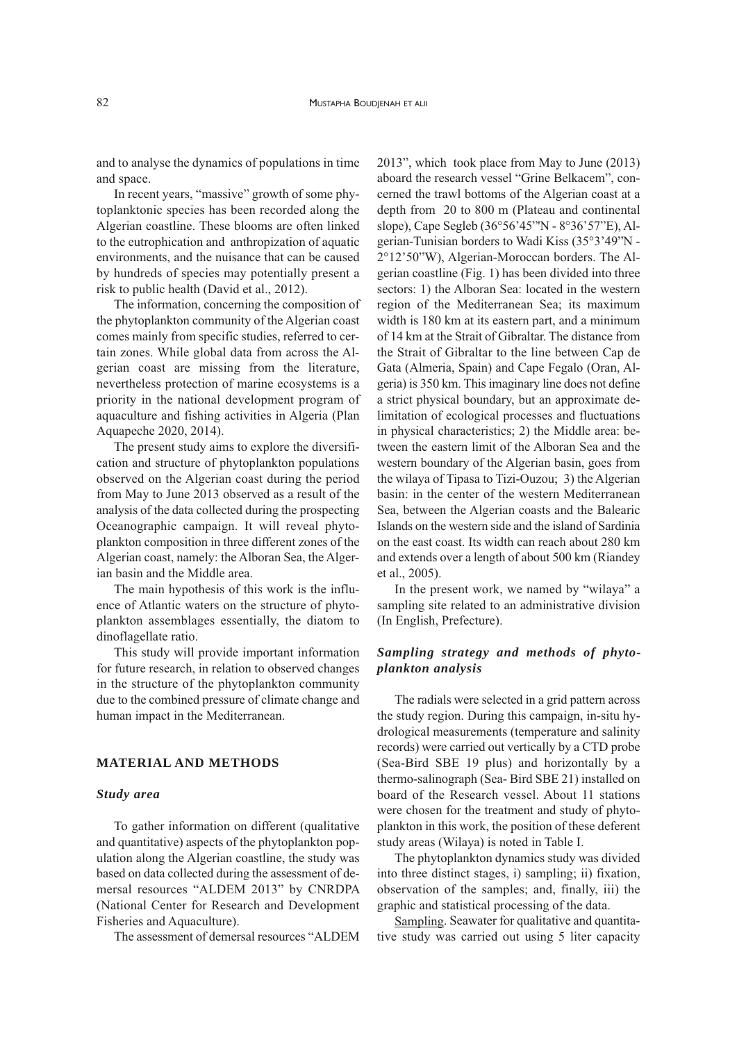and to analyse the dynamics of populations in time and space.

In recent years, "massive" growth of some phytoplanktonic species has been recorded along the Algerian coastline. These blooms are often linked to the eutrophication and anthropization of aquatic environments, and the nuisance that can be caused by hundreds of species may potentially present a risk to public health (David et al., 2012).

The information, concerning the composition of the phytoplankton community of the Algerian coast comes mainly from specific studies, referred to certain zones. While global data from across the Algerian coast are missing from the literature, nevertheless protection of marine ecosystems is a priority in the national development program of aquaculture and fishing activities in Algeria (Plan Aquapeche 2020, 2014).

The present study aims to explore the diversification and structure of phytoplankton populations observed on the Algerian coast during the period from May to June 2013 observed as a result of the analysis of the data collected during the prospecting Oceanographic campaign. It will reveal phytoplankton composition in three different zones of the Algerian coast, namely: the Alboran Sea, the Algerian basin and the Middle area.

The main hypothesis of this work is the influence of Atlantic waters on the structure of phytoplankton assemblages essentially, the diatom to dinoflagellate ratio.

This study will provide important information for future research, in relation to observed changes in the structure of the phytoplankton community due to the combined pressure of climate change and human impact in the Mediterranean.

## **MATERIAL AND METHODS**

#### *Study area*

To gather information on different (qualitative and quantitative) aspects of the phytoplankton population along the Algerian coastline, the study was based on data collected during the assessment of demersal resources "ALDEM 2013" by CNRDPA (National Center for Research and Development Fisheries and Aquaculture).

The assessment of demersal resources "ALDEM

2013", which took place from May to June (2013) aboard the research vessel "Grine Belkacem", concerned the trawl bottoms of the Algerian coast at a depth from 20 to 800 m (Plateau and continental slope), Cape Segleb (36°56'45"'N - 8°36'57"E), Algerian-Tunisian borders to Wadi Kiss (35°3'49"N - 2°12'50"W), Algerian-Moroccan borders. The Algerian coastline (Fig. 1) has been divided into three sectors: 1) the Alboran Sea: located in the western region of the Mediterranean Sea; its maximum width is 180 km at its eastern part, and a minimum of 14 km at the Strait of Gibraltar. The distance from the Strait of Gibraltar to the line between Cap de Gata (Almeria, Spain) and Cape Fegalo (Oran, Algeria) is 350 km. This imaginary line does not define a strict physical boundary, but an approximate delimitation of ecological processes and fluctuations in physical characteristics; 2) the Middle area: between the eastern limit of the Alboran Sea and the western boundary of the Algerian basin, goes from the wilaya of Tipasa to Tizi-Ouzou; 3) the Algerian basin: in the center of the western Mediterranean Sea, between the Algerian coasts and the Balearic Islands on the western side and the island of Sardinia on the east coast. Its width can reach about 280 km and extends over a length of about 500 km (Riandey et al., 2005).

In the present work, we named by "wilaya" a sampling site related to an administrative division (In English, Prefecture).

# *Sampling strategy and methods of phytoplankton analysis*

The radials were selected in a grid pattern across the study region. During this campaign, in-situ hydrological measurements (temperature and salinity records) were carried out vertically by a CTD probe (Sea-Bird SBE 19 plus) and horizontally by a thermo-salinograph (Sea- Bird SBE 21) installed on board of the Research vessel. About 11 stations were chosen for the treatment and study of phytoplankton in this work, the position of these deferent study areas (Wilaya) is noted in Table I.

The phytoplankton dynamics study was divided into three distinct stages, i) sampling; ii) fixation, observation of the samples; and, finally, iii) the graphic and statistical processing of the data.

Sampling. Seawater for qualitative and quantitative study was carried out using 5 liter capacity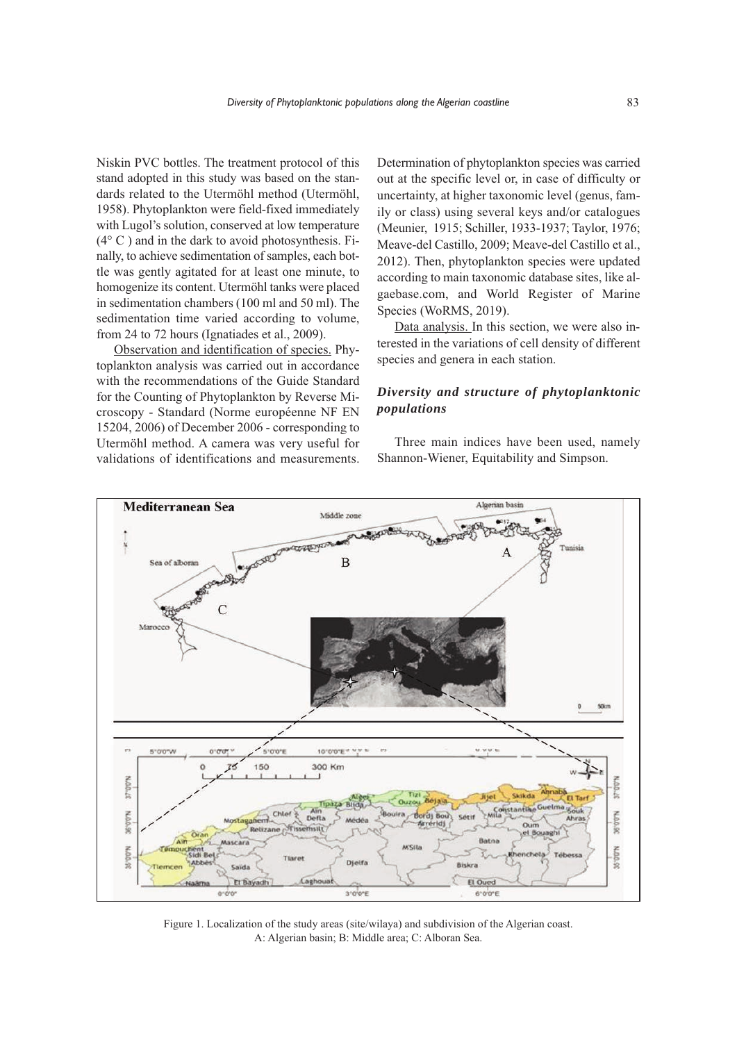Niskin PVC bottles. The treatment protocol of this stand adopted in this study was based on the standards related to the Utermöhl method (Utermöhl, 1958). Phytoplankton were field-fixed immediately with Lugol's solution, conserved at low temperature  $(4^{\circ}$  C) and in the dark to avoid photosynthesis. Finally, to achieve sedimentation of samples, each bottle was gently agitated for at least one minute, to homogenize its content. Utermöhl tanks were placed in sedimentation chambers (100 ml and 50 ml). The sedimentation time varied according to volume, from 24 to 72 hours (Ignatiades et al., 2009).

Observation and identification of species. Phytoplankton analysis was carried out in accordance with the recommendations of the Guide Standard for the Counting of Phytoplankton by Reverse Microscopy - Standard (Norme européenne NF EN 15204, 2006) of December 2006 - corresponding to Utermöhl method. A camera was very useful for validations of identifications and measurements.

Determination of phytoplankton species was carried out at the specific level or, in case of difficulty or uncertainty, at higher taxonomic level (genus, family or class) using several keys and/or catalogues (Meunier, 1915; Schiller, 1933-1937; Taylor, 1976; Meave-del Castillo, 2009; Meave-del Castillo et al., 2012). Then, phytoplankton species were updated according to main taxonomic database sites, like algaebase.com, and World Register of Marine Species (WoRMS, 2019).

Data analysis. In this section, we were also interested in the variations of cell density of different species and genera in each station.

# *Diversity and structure of phytoplanktonic populations*

Three main indices have been used, namely Shannon-Wiener, Equitability and Simpson.



Figure 1. Localization of the study areas (site/wilaya) and subdivision of the Algerian coast. A: Algerian basin; B: Middle area; C: Alboran Sea.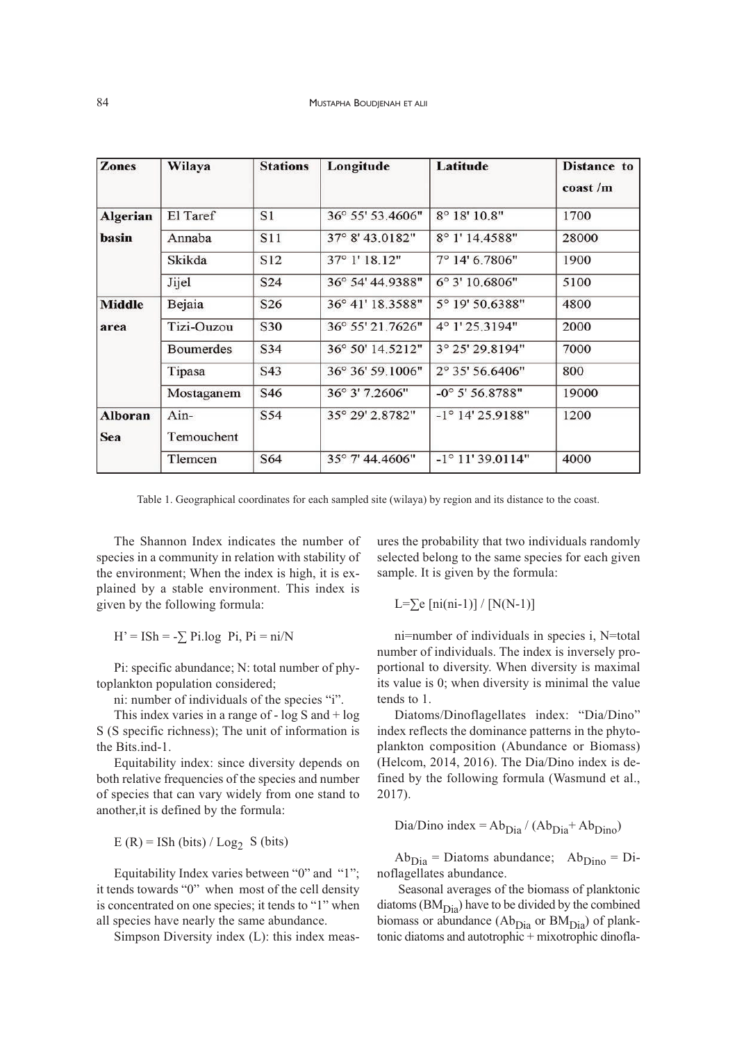| <b>Zones</b>          | Wilaya             | <b>Stations</b> | Longitude        | Latitude                  | <b>Distance</b> to<br>$\cos t/m$ |
|-----------------------|--------------------|-----------------|------------------|---------------------------|----------------------------------|
| <b>Algerian</b>       | El Taref           | S1              | 36° 55' 53.4606" | 8° 18' 10.8"              | 1700                             |
| basin                 | Annaba             | <b>S11</b>      | 37° 8' 43.0182"  | 8° 1' 14.4588"            | 28000                            |
|                       | Skikda             | S <sub>12</sub> | 37° 1' 18.12"    | 7° 14' 6.7806"            | 1900                             |
|                       | Jijel              | S24             | 36° 54' 44.9388" | 6° 3' 10.6806"            | 5100                             |
| <b>Middle</b>         | Bejaia             | S <sub>26</sub> | 36° 41' 18.3588" | 5° 19' 50.6388"           | 4800                             |
| area                  | Tizi-Ouzou         | S30             | 36° 55' 21.7626" | $4^{\circ}$ 1' 25.3194"   | 2000                             |
|                       | <b>Boumerdes</b>   | S34             | 36° 50' 14.5212" | 3° 25' 29.8194"           | 7000                             |
|                       | Tipasa             | S43             | 36° 36' 59.1006" | 2° 35' 56.6406"           | 800                              |
|                       | Mostaganem         | S46             | 36° 3' 7.2606"   | $-0^{\circ}$ 5' 56.8788"  | 19000                            |
| <b>Alboran</b><br>Sea | Ain-<br>Temouchent | S54             | 35° 29' 2.8782"  | $-1^{\circ}$ 14' 25.9188" | 1200                             |
|                       | Tlemcen            | S64             | 35° 7' 44.4606"  | $-1^{\circ}$ 11' 39.0114" | 4000                             |

Table 1. Geographical coordinates for each sampled site (wilaya) by region and its distance to the coast.

The Shannon Index indicates the number of species in a community in relation with stability of the environment; When the index is high, it is explained by a stable environment. This index is given by the following formula:

 $H' = ISh = -\sum_i P_i \log_i P_i$ ,  $Pi = ni/N$ 

Pi: specific abundance; N: total number of phytoplankton population considered;

ni: number of individuals of the species "i".

This index varies in a range of  $- \log S$  and  $+ \log S$ S (S specific richness); The unit of information is the Bits.ind-1.

Equitability index: since diversity depends on both relative frequencies of the species and number of species that can vary widely from one stand to another,it is defined by the formula:

 $E(R) = ISh (bits) / Log_2 S (bits)$ 

Equitability Index varies between "0" and "1"; it tends towards "0" when most of the cell density is concentrated on one species; it tends to "1" when all species have nearly the same abundance.

Simpson Diversity index (L): this index meas-

ures the probability that two individuals randomly selected belong to the same species for each given sample. It is given by the formula:

L= $\Sigma$ e [ni(ni-1)] / [N(N-1)]

ni=number of individuals in species i, N=total number of individuals. The index is inversely proportional to diversity. When diversity is maximal its value is 0; when diversity is minimal the value tends to 1.

Diatoms/Dinoflagellates index: "Dia/Dino" index reflects the dominance patterns in the phytoplankton composition (Abundance or Biomass) (Helcom, 2014, 2016). The Dia/Dino index is defined by the following formula (Wasmund et al., 2017).

Dia/Dino index =  $Ab_{\text{Dia}} / (Ab_{\text{Dia}} + Ab_{\text{Dino}})$ 

 $Ab_{Dia} = Diatoms$  abundance;  $Ab_{Dino} = Di$ noflagellates abundance.

Seasonal averages of the biomass of planktonic diatoms  $(BM<sub>Dia</sub>)$  have to be divided by the combined biomass or abundance  $(Ab<sub>Dia</sub>$  or  $BM<sub>Dia</sub>$ ) of planktonic diatoms and autotrophic + mixotrophic dinofla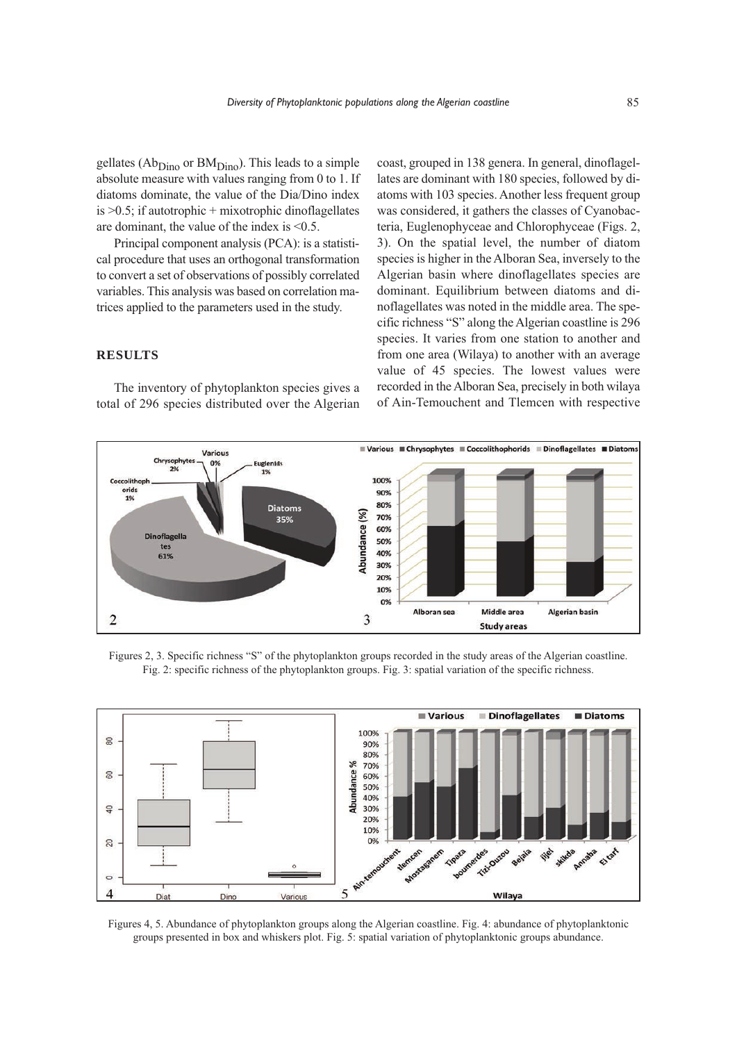gellates ( $Ab<sub>Dino</sub>$  or  $BM<sub>Dino</sub>$ ). This leads to a simple absolute measure with values ranging from 0 to 1. If diatoms dominate, the value of the Dia/Dino index is  $>0.5$ ; if autotrophic + mixotrophic dinoflagellates are dominant, the value of the index is <0.5.

Principal component analysis (PCA): is a statistical procedure that uses an orthogonal transformation to convert a set of observations of possibly correlated variables. This analysis was based on correlation matrices applied to the parameters used in the study.

## **RESULTS**

The inventory of phytoplankton species gives a total of 296 species distributed over the Algerian

coast, grouped in 138 genera. In general, dinoflagellates are dominant with 180 species, followed by diatoms with 103 species. Another less frequent group was considered, it gathers the classes of Cyanobacteria, Euglenophyceae and Chlorophyceae (Figs. 2, 3). On the spatial level, the number of diatom species is higher in the Alboran Sea, inversely to the Algerian basin where dinoflagellates species are dominant. Equilibrium between diatoms and dinoflagellates was noted in the middle area. The specific richness "S" along the Algerian coastline is 296 species. It varies from one station to another and from one area (Wilaya) to another with an average value of 45 species. The lowest values were recorded in the Alboran Sea, precisely in both wilaya of Ain-Temouchent and Tlemcen with respective



Figures 2, 3. Specific richness "S" of the phytoplankton groups recorded in the study areas of the Algerian coastline. Fig. 2: specific richness of the phytoplankton groups. Fig. 3: spatial variation of the specific richness.



Figures 4, 5. Abundance of phytoplankton groups along the Algerian coastline. Fig. 4: abundance of phytoplanktonic groups presented in box and whiskers plot. Fig. 5: spatial variation of phytoplanktonic groups abundance.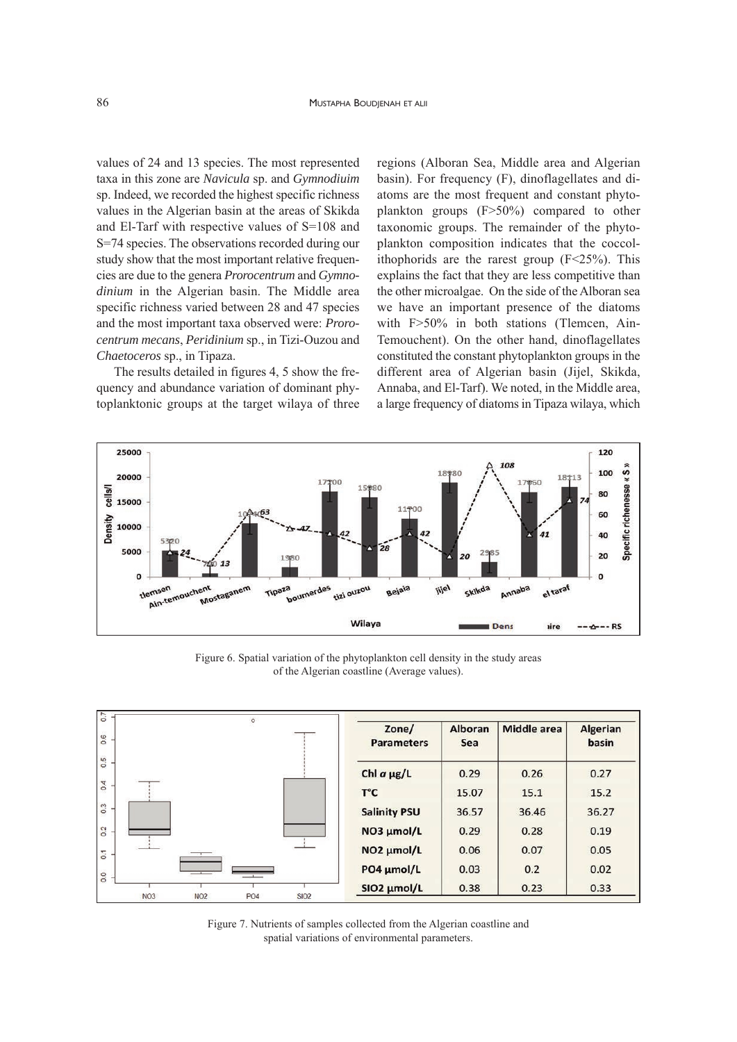values of 24 and 13 species. The most represented taxa in this zone are *Navicula* sp. and *Gymnodiuim* sp. Indeed, we recorded the highest specific richness values in the Algerian basin at the areas of Skikda and El-Tarf with respective values of S=108 and S=74 species. The observations recorded during our study show that the most important relative frequencies are due to the genera *Prorocentrum* and *Gymnodinium* in the Algerian basin. The Middle area specific richness varied between 28 and 47 species and the most important taxa observed were: *Prorocentrum mecans*, *Peridinium* sp., in Tizi-Ouzou and *Chaetoceros* sp., in Tipaza.

The results detailed in figures 4, 5 show the frequency and abundance variation of dominant phytoplanktonic groups at the target wilaya of three regions (Alboran Sea, Middle area and Algerian basin). For frequency (F), dinoflagellates and diatoms are the most frequent and constant phytoplankton groups (F>50%) compared to other taxonomic groups. The remainder of the phytoplankton composition indicates that the coccolithophorids are the rarest group  $(F<25%)$ . This explains the fact that they are less competitive than the other microalgae. On the side of the Alboran sea we have an important presence of the diatoms with F>50% in both stations (Tlemcen, Ain-Temouchent). On the other hand, dinoflagellates constituted the constant phytoplankton groups in the different area of Algerian basin (Jijel, Skikda, Annaba, and El-Tarf). We noted, in the Middle area, a large frequency of diatoms in Tipaza wilaya, which



Figure 6. Spatial variation of the phytoplankton cell density in the study areas of the Algerian coastline (Average values).



Figure 7. Nutrients of samples collected from the Algerian coastline and spatial variations of environmental parameters.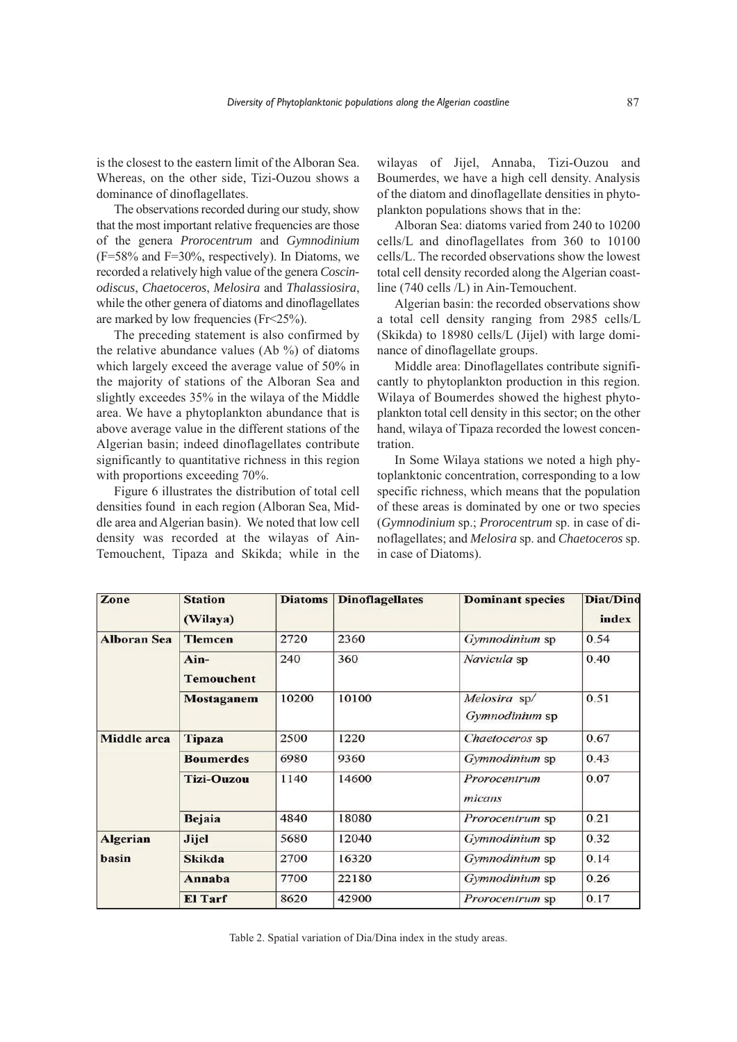is the closest to the eastern limit of the Alboran Sea. Whereas, on the other side, Tizi-Ouzou shows a dominance of dinoflagellates.

The observations recorded during our study, show that the most important relative frequencies are those of the genera *Prorocentrum* and *Gymnodinium*  $(F=58\%$  and  $F=30\%$ , respectively). In Diatoms, we recorded a relatively high value of the genera *Coscinodiscus*, *Chaetoceros*, *Melosira* and *Thalassiosira*, while the other genera of diatoms and dinoflagellates are marked by low frequencies (Fr<25%).

The preceding statement is also confirmed by the relative abundance values  $(Ab \%)$  of diatoms which largely exceed the average value of 50% in the majority of stations of the Alboran Sea and slightly exceedes 35% in the wilaya of the Middle area. We have a phytoplankton abundance that is above average value in the different stations of the Algerian basin; indeed dinoflagellates contribute significantly to quantitative richness in this region with proportions exceeding 70%.

Figure 6 illustrates the distribution of total cell densities found in each region (Alboran Sea, Middle area and Algerian basin). We noted that low cell density was recorded at the wilayas of Ain-Temouchent, Tipaza and Skikda; while in the

wilayas of Jijel, Annaba, Tizi-Ouzou and Boumerdes, we have a high cell density. Analysis of the diatom and dinoflagellate densities in phytoplankton populations shows that in the:

Alboran Sea: diatoms varied from 240 to 10200 cells/L and dinoflagellates from 360 to 10100 cells/L. The recorded observations show the lowest total cell density recorded along the Algerian coastline (740 cells /L) in Ain-Temouchent.

Algerian basin: the recorded observations show a total cell density ranging from 2985 cells/L (Skikda) to 18980 cells/L (Jijel) with large dominance of dinoflagellate groups.

Middle area: Dinoflagellates contribute significantly to phytoplankton production in this region. Wilaya of Boumerdes showed the highest phytoplankton total cell density in this sector; on the other hand, wilaya of Tipaza recorded the lowest concentration.

In Some Wilaya stations we noted a high phytoplanktonic concentration, corresponding to a low specific richness, which means that the population of these areas is dominated by one or two species (*Gymnodinium* sp.; *Prorocentrum* sp. in case of dinoflagellates; and *Melosira* sp. and *Chaetoceros* sp. in case of Diatoms).

| Zone               | <b>Station</b><br>(Wilaya) | <b>Diatoms</b> | <b>Dinoflagellates</b> | <b>Dominant species</b>        | <b>Diat/Dino</b><br>index |
|--------------------|----------------------------|----------------|------------------------|--------------------------------|---------------------------|
| <b>Alboran Sea</b> | <b>Tlemcen</b>             | 2720           | 2360                   | Gymnodinium sp                 | 0.54                      |
|                    | Ain-<br><b>Temouchent</b>  | 240            | 360                    | Navicula sp                    | 0.40                      |
|                    | <b>Mostaganem</b>          | 10200          | 10100                  | Melosira sp/<br>Gymnodinium sp | 0.51                      |
| <b>Middle</b> area | <b>Tipaza</b>              | 2500           | 1220                   | Chaetoceros sp                 | 0.67                      |
|                    | <b>Boumerdes</b>           | 6980           | 9360                   | <i>Gymnodinium</i> sp          | 0.43                      |
|                    | <b>Tizi-Ouzou</b>          | 1140           | 14600                  | Prorocentrum<br>micans         | 0.07                      |
|                    | <b>Bejaia</b>              | 4840           | 18080                  | Prorocentrum sp                | 0.21                      |
| <b>Algerian</b>    | <b>Jijel</b>               | 5680           | 12040                  | Gymnodinium sp                 | 0.32                      |
| basin              | <b>Skikda</b>              | 2700           | 16320                  | Gymnodinium sp                 | 0.14                      |
|                    | Annaba                     | 7700           | 22180                  | Gymnodinium sp                 | 0.26                      |
|                    | <b>El Tarf</b>             | 8620           | 42900                  | Prorocentrum sp                | 0.17                      |

Table 2. Spatial variation of Dia/Dina index in the study areas.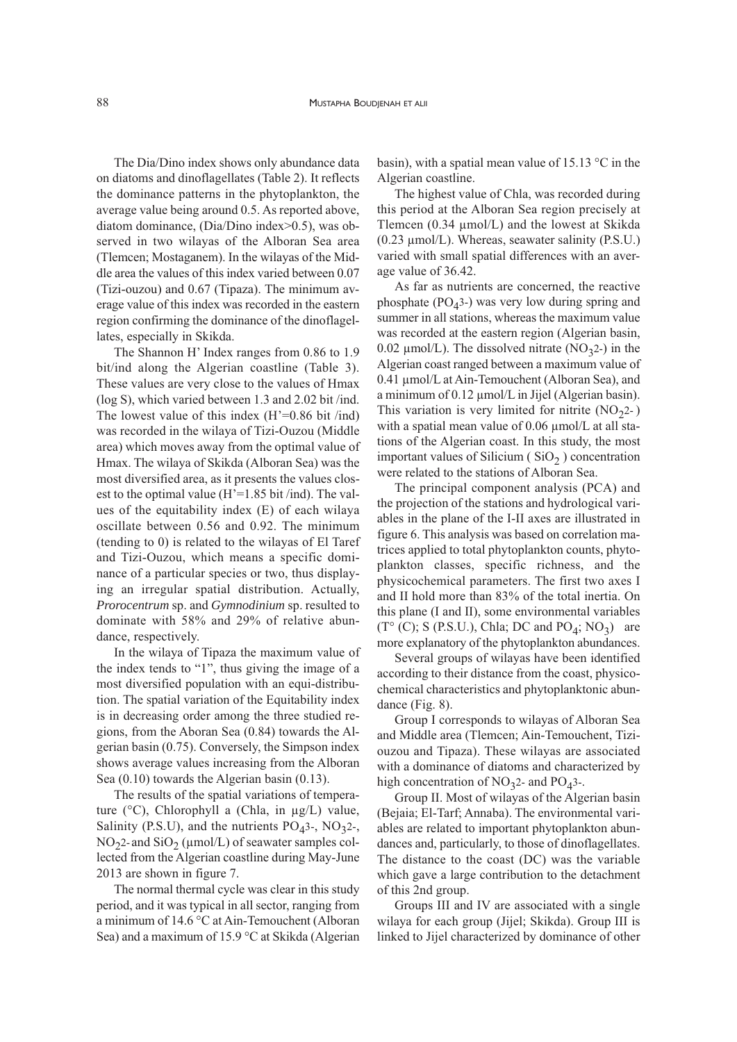The Dia/Dino index shows only abundance data on diatoms and dinoflagellates (Table 2). It reflects the dominance patterns in the phytoplankton, the average value being around 0.5. As reported above, diatom dominance, (Dia/Dino index>0.5), was observed in two wilayas of the Alboran Sea area (Tlemcen; Mostaganem). In the wilayas of the Middle area the values of this index varied between 0.07 (Tizi-ouzou) and 0.67 (Tipaza). The minimum average value of this index was recorded in the eastern region confirming the dominance of the dinoflagellates, especially in Skikda.

The Shannon H' Index ranges from 0.86 to 1.9 bit/ind along the Algerian coastline (Table 3). These values are very close to the values of Hmax (log S), which varied between 1.3 and 2.02 bit /ind. The lowest value of this index  $(H'=0.86$  bit /ind) was recorded in the wilaya of Tizi-Ouzou (Middle area) which moves away from the optimal value of Hmax. The wilaya of Skikda (Alboran Sea) was the most diversified area, as it presents the values closest to the optimal value  $(H'=1.85 \text{ bit} / \text{ind})$ . The values of the equitability index (E) of each wilaya oscillate between 0.56 and 0.92. The minimum (tending to 0) is related to the wilayas of El Taref and Tizi-Ouzou, which means a specific dominance of a particular species or two, thus displaying an irregular spatial distribution. Actually, *Prorocentrum* sp. and *Gymnodinium* sp. resulted to dominate with 58% and 29% of relative abundance, respectively.

In the wilaya of Tipaza the maximum value of the index tends to "1", thus giving the image of a most diversified population with an equi-distribution. The spatial variation of the Equitability index is in decreasing order among the three studied regions, from the Aboran Sea (0.84) towards the Algerian basin (0.75). Conversely, the Simpson index shows average values increasing from the Alboran Sea (0.10) towards the Algerian basin (0.13).

The results of the spatial variations of temperature (°C), Chlorophyll a (Chla, in µg/L) value, Salinity (P.S.U), and the nutrients  $PO<sub>4</sub>3$ -,  $NO<sub>3</sub>2$ -,  $NO<sub>2</sub>$ - and  $SiO<sub>2</sub>$  (µmol/L) of seawater samples collected from the Algerian coastline during May-June 2013 are shown in figure 7.

The normal thermal cycle was clear in this study period, and it was typical in all sector, ranging from a minimum of 14.6 °C at Ain-Temouchent (Alboran Sea) and a maximum of 15.9 °C at Skikda (Algerian basin), with a spatial mean value of 15.13 °C in the Algerian coastline.

The highest value of Chla, was recorded during this period at the Alboran Sea region precisely at Tlemcen (0.34 µmol/L) and the lowest at Skikda (0.23 µmol/L). Whereas, seawater salinity (P.S.U.) varied with small spatial differences with an average value of 36.42.

As far as nutrients are concerned, the reactive phosphate  $(PO<sub>4</sub>3-)$  was very low during spring and summer in all stations, whereas the maximum value was recorded at the eastern region (Algerian basin, 0.02  $\mu$ mol/L). The dissolved nitrate (NO<sub>3</sub>2-) in the Algerian coast ranged between a maximum value of 0.41 µmol/L at Ain-Temouchent (Alboran Sea), and a minimum of 0.12 µmol/L in Jijel (Algerian basin). This variation is very limited for nitrite  $(NO<sub>2</sub>2-)$ with a spatial mean value of  $0.06 \mu$ mol/L at all stations of the Algerian coast. In this study, the most important values of Silicium  $(SiO<sub>2</sub>)$  concentration were related to the stations of Alboran Sea.

The principal component analysis (PCA) and the projection of the stations and hydrological variables in the plane of the I-II axes are illustrated in figure 6. This analysis was based on correlation matrices applied to total phytoplankton counts, phytoplankton classes, specific richness, and the physicochemical parameters. The first two axes I and II hold more than 83% of the total inertia. On this plane (I and II), some environmental variables  $(T^{\circ}$  (C); S (P.S.U.), Chla; DC and PO<sub>4</sub>; NO<sub>3</sub>) are more explanatory of the phytoplankton abundances.

Several groups of wilayas have been identified according to their distance from the coast, physicochemical characteristics and phytoplanktonic abundance (Fig. 8).

Group I corresponds to wilayas of Alboran Sea and Middle area (Tlemcen; Ain-Temouchent, Tiziouzou and Tipaza). These wilayas are associated with a dominance of diatoms and characterized by high concentration of  $NO<sub>3</sub>2$ - and  $PO<sub>4</sub>3$ -.

Group II. Most of wilayas of the Algerian basin (Bejaia; El-Tarf; Annaba). The environmental variables are related to important phytoplankton abundances and, particularly, to those of dinoflagellates. The distance to the coast (DC) was the variable which gave a large contribution to the detachment of this 2nd group.

Groups III and IV are associated with a single wilaya for each group (Jijel; Skikda). Group III is linked to Jijel characterized by dominance of other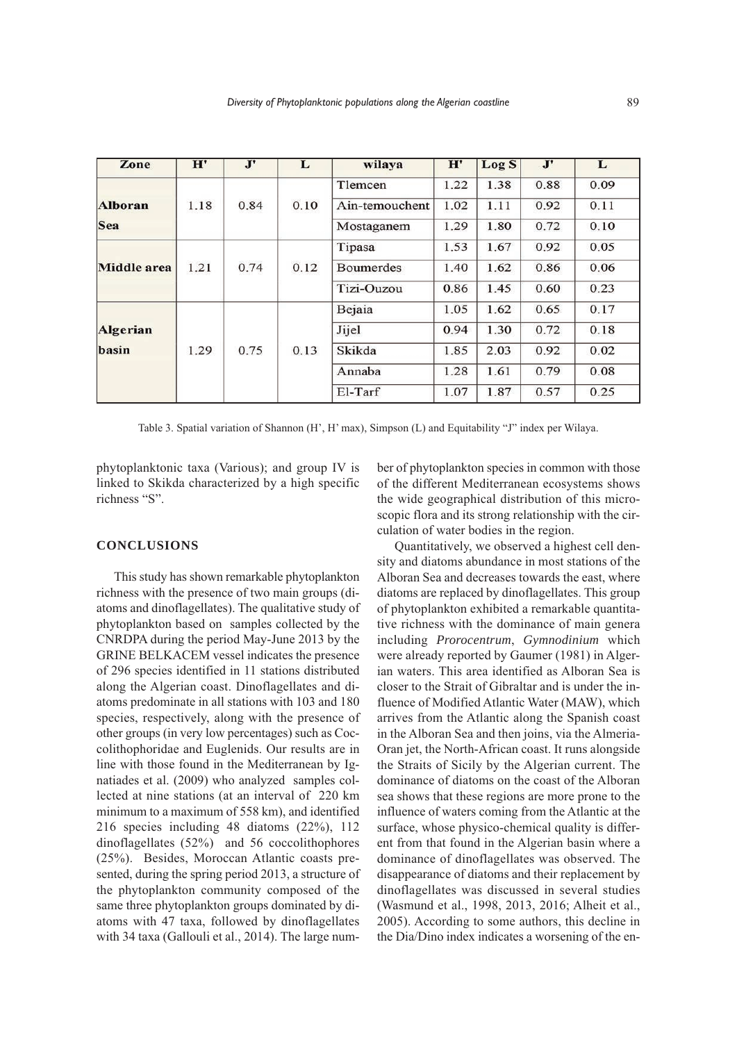| Zone               | H'   | $\mathbf{J}$ | L    | wilaya           | $\mathbf{H}^{\prime}$ | Log <sub>S</sub> | J'   | L    |
|--------------------|------|--------------|------|------------------|-----------------------|------------------|------|------|
|                    |      |              |      | Tlemcen          | 1.22                  | 1.38             | 0.88 | 0.09 |
| <b>Alboran</b>     | 1.18 | 0.84         | 0.10 | Ain-temouchent   | 1.02                  | 1.11             | 0.92 | 0.11 |
| Sea                |      |              |      | Mostaganem       | 1.29                  | 1.80             | 0.72 | 0.10 |
|                    |      |              |      | Tipasa           | 1.53                  | 1.67             | 0.92 | 0.05 |
| <b>Middle</b> area | 1.21 | 0.74         | 0.12 | <b>Boumerdes</b> | 1.40                  | 1.62             | 0.86 | 0.06 |
|                    |      |              |      | Tizi-Ouzou       | 0.86                  | 1.45             | 0.60 | 0.23 |
|                    |      |              |      | Bejaia           | 1.05                  | 1.62             | 0.65 | 0.17 |
| <b>Algerian</b>    |      |              |      | Jijel            | 0.94                  | 1.30             | 0.72 | 0.18 |
| basin              | 1.29 | 0.75         | 0.13 | Skikda           | 1.85                  | 2.03             | 0.92 | 0.02 |
|                    |      |              |      | Annaba           | 1.28                  | 1.61             | 0.79 | 0.08 |
|                    |      |              |      | El-Tarf          | 1.07                  | 1.87             | 0.57 | 0.25 |

Table 3. Spatial variation of Shannon (H', H' max), Simpson (L) and Equitability "J" index per Wilaya.

phytoplanktonic taxa (Various); and group IV is linked to Skikda characterized by a high specific richness "S".

#### **CONCLUSIONS**

This study has shown remarkable phytoplankton richness with the presence of two main groups (diatoms and dinoflagellates). The qualitative study of phytoplankton based on samples collected by the CNRDPA during the period May-June 2013 by the GRINE BELKACEM vessel indicates the presence of 296 species identified in 11 stations distributed along the Algerian coast. Dinoflagellates and diatoms predominate in all stations with 103 and 180 species, respectively, along with the presence of other groups (in very low percentages) such as Coccolithophoridae and Euglenids. Our results are in line with those found in the Mediterranean by Ignatiades et al. (2009) who analyzed samples collected at nine stations (at an interval of 220 km minimum to a maximum of 558 km), and identified 216 species including 48 diatoms (22%), 112 dinoflagellates (52%) and 56 coccolithophores (25%). Besides, Moroccan Atlantic coasts presented, during the spring period 2013, a structure of the phytoplankton community composed of the same three phytoplankton groups dominated by diatoms with 47 taxa, followed by dinoflagellates with 34 taxa (Gallouli et al., 2014). The large number of phytoplankton species in common with those of the different Mediterranean ecosystems shows the wide geographical distribution of this microscopic flora and its strong relationship with the circulation of water bodies in the region.

Quantitatively, we observed a highest cell density and diatoms abundance in most stations of the Alboran Sea and decreases towards the east, where diatoms are replaced by dinoflagellates. This group of phytoplankton exhibited a remarkable quantitative richness with the dominance of main genera including *Prorocentrum*, *Gymnodinium* which were already reported by Gaumer (1981) in Algerian waters. This area identified as Alboran Sea is closer to the Strait of Gibraltar and is under the influence of Modified Atlantic Water (MAW), which arrives from the Atlantic along the Spanish coast in the Alboran Sea and then joins, via the Almeria-Oran jet, the North-African coast. It runs alongside the Straits of Sicily by the Algerian current. The dominance of diatoms on the coast of the Alboran sea shows that these regions are more prone to the influence of waters coming from the Atlantic at the surface, whose physico-chemical quality is different from that found in the Algerian basin where a dominance of dinoflagellates was observed. The disappearance of diatoms and their replacement by dinoflagellates was discussed in several studies (Wasmund et al., 1998, 2013, 2016; Alheit et al., 2005). According to some authors, this decline in the Dia/Dino index indicates a worsening of the en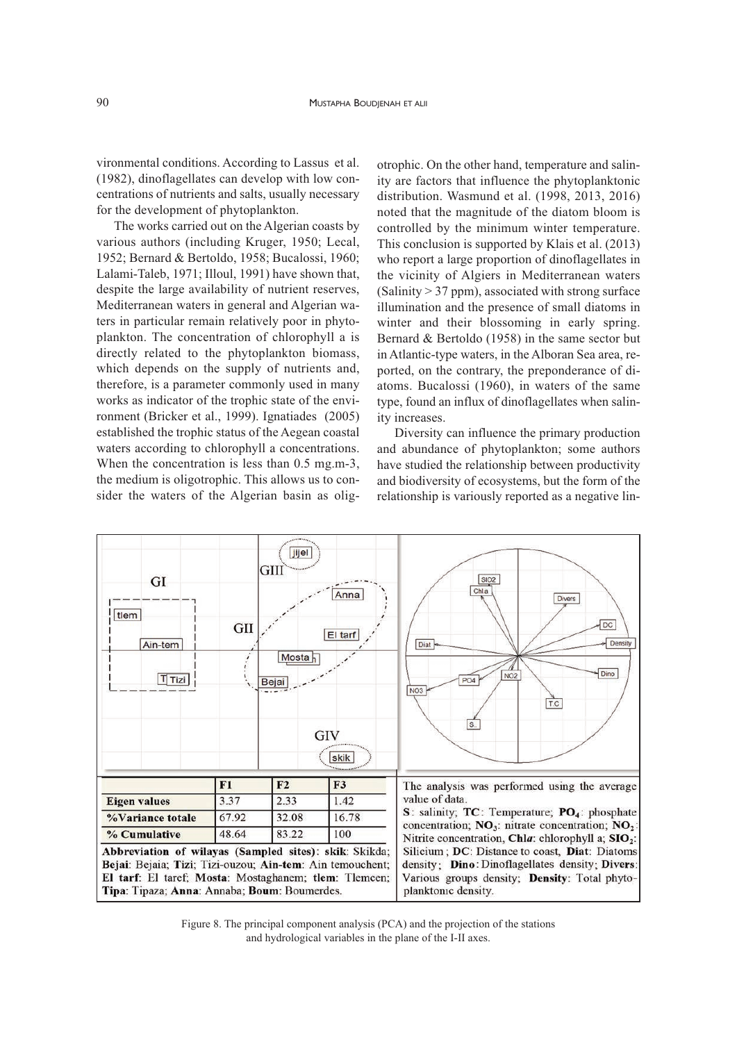vironmental conditions. According to Lassus et al. (1982), dinoflagellates can develop with low concentrations of nutrients and salts, usually necessary for the development of phytoplankton.

The works carried out on the Algerian coasts by various authors (including Kruger, 1950; Lecal, 1952; Bernard & Bertoldo, 1958; Bucalossi, 1960; Lalami-Taleb, 1971; Illoul, 1991) have shown that, despite the large availability of nutrient reserves, Mediterranean waters in general and Algerian waters in particular remain relatively poor in phytoplankton. The concentration of chlorophyll a is directly related to the phytoplankton biomass, which depends on the supply of nutrients and, therefore, is a parameter commonly used in many works as indicator of the trophic state of the environment (Bricker et al., 1999). Ignatiades (2005) established the trophic status of the Aegean coastal waters according to chlorophyll a concentrations. When the concentration is less than 0.5 mg.m-3, the medium is oligotrophic. This allows us to consider the waters of the Algerian basin as olig-

otrophic. On the other hand, temperature and salinity are factors that influence the phytoplanktonic distribution. Wasmund et al. (1998, 2013, 2016) noted that the magnitude of the diatom bloom is controlled by the minimum winter temperature. This conclusion is supported by Klais et al. (2013) who report a large proportion of dinoflagellates in the vicinity of Algiers in Mediterranean waters  $(Salinity > 37 ppm)$ , associated with strong surface illumination and the presence of small diatoms in winter and their blossoming in early spring. Bernard & Bertoldo (1958) in the same sector but in Atlantic-type waters, in the Alboran Sea area, reported, on the contrary, the preponderance of diatoms. Bucalossi (1960), in waters of the same type, found an influx of dinoflagellates when salinity increases.

Diversity can influence the primary production and abundance of phytoplankton; some authors have studied the relationship between productivity and biodiversity of ecosystems, but the form of the relationship is variously reported as a negative lin-



Figure 8. The principal component analysis (PCA) and the projection of the stations and hydrological variables in the plane of the I-II axes.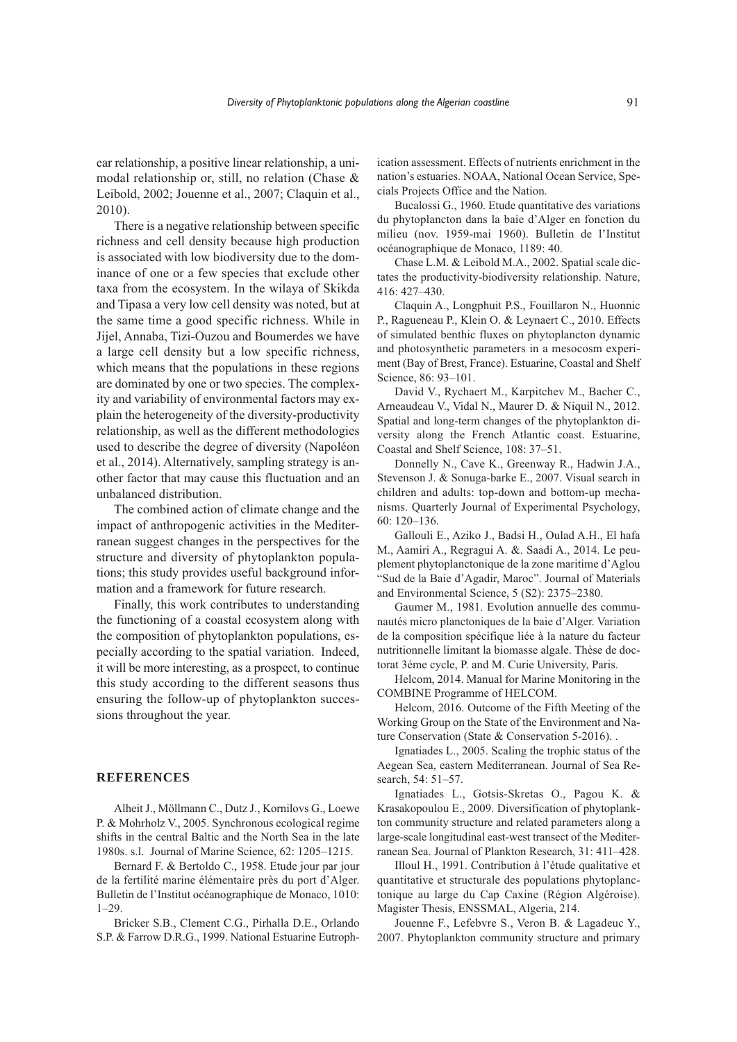ear relationship, a positive linear relationship, a unimodal relationship or, still, no relation (Chase & Leibold, 2002; Jouenne et al., 2007; Claquin et al., 2010).

There is a negative relationship between specific richness and cell density because high production is associated with low biodiversity due to the dominance of one or a few species that exclude other taxa from the ecosystem. In the wilaya of Skikda and Tipasa a very low cell density was noted, but at the same time a good specific richness. While in Jijel, Annaba, Tizi-Ouzou and Boumerdes we have a large cell density but a low specific richness, which means that the populations in these regions are dominated by one or two species. The complexity and variability of environmental factors may explain the heterogeneity of the diversity-productivity relationship, as well as the different methodologies used to describe the degree of diversity (Napoléon et al., 2014). Alternatively, sampling strategy is another factor that may cause this fluctuation and an unbalanced distribution.

The combined action of climate change and the impact of anthropogenic activities in the Mediterranean suggest changes in the perspectives for the structure and diversity of phytoplankton populations; this study provides useful background information and a framework for future research.

Finally, this work contributes to understanding the functioning of a coastal ecosystem along with the composition of phytoplankton populations, especially according to the spatial variation. Indeed, it will be more interesting, as a prospect, to continue this study according to the different seasons thus ensuring the follow-up of phytoplankton successions throughout the year.

## **REFERENCES**

Alheit J., Möllmann C., Dutz J., Kornilovs G., Loewe P. & Mohrholz V., 2005. Synchronous ecological regime shifts in the central Baltic and the North Sea in the late 1980s. s.l. Journal of Marine Science, 62: 1205–1215.

Bernard F. & Bertoldo C., 1958. Etude jour par jour de la fertilité marine élémentaire près du port d'Alger. Bulletin de l'Institut océanographique de Monaco, 1010: 1–29.

Bricker S.B., Clement C.G., Pirhalla D.E., Orlando S.P. & Farrow D.R.G., 1999. National Estuarine Eutroph-

ication assessment. Effects of nutrients enrichment in the nation's estuaries. NOAA, National Ocean Service, Specials Projects Office and the Nation.

Bucalossi G., 1960. Etude quantitative des variations du phytoplancton dans la baie d'Alger en fonction du milieu (nov. 1959-mai 1960). Bulletin de l'Institut océanographique de Monaco, 1189: 40.

Chase L.M. & Leibold M.A., 2002. Spatial scale dictates the productivity-biodiversity relationship. Nature, 416: 427–430.

Claquin A., Longphuit P.S., Fouillaron N., Huonnic P., Ragueneau P., Klein O. & Leynaert C., 2010. Effects of simulated benthic fluxes on phytoplancton dynamic and photosynthetic parameters in a mesocosm experiment (Bay of Brest, France). Estuarine, Coastal and Shelf Science, 86: 93–101.

David V., Rychaert M., Karpitchev M., Bacher C., Arneaudeau V., Vidal N., Maurer D. & Niquil N., 2012. Spatial and long-term changes of the phytoplankton diversity along the French Atlantic coast. Estuarine, Coastal and Shelf Science, 108: 37–51.

Donnelly N., Cave K., Greenway R., Hadwin J.A., Stevenson J. & Sonuga-barke E., 2007. Visual search in children and adults: top-down and bottom-up mechanisms. Quarterly Journal of Experimental Psychology, 60: 120–136.

Gallouli E., Aziko J., Badsi H., Oulad A.H., El hafa M., Aamiri A., Regragui A. &. Saadi A., 2014. Le peuplement phytoplanctonique de la zone maritime d'Aglou "Sud de la Baie d'Agadir, Maroc". Journal of Materials and Environmental Science, 5 (S2): 2375–2380.

Gaumer M., 1981. Evolution annuelle des communautés micro planctoniques de la baie d'Alger. Variation de la composition spécifique liée à la nature du facteur nutritionnelle limitant la biomasse algale. Thèse de doctorat 3éme cycle, P. and M. Curie University, Paris.

Helcom, 2014. Manual for Marine Monitoring in the COMBINE Programme of HELCOM.

Helcom, 2016. Outcome of the Fifth Meeting of the Working Group on the State of the Environment and Nature Conservation (State & Conservation 5-2016). .

Ignatiades L., 2005. Scaling the trophic status of the Aegean Sea, eastern Mediterranean. Journal of Sea Research, 54: 51–57.

Ignatiades L., Gotsis-Skretas O., Pagou K. & Krasakopoulou E., 2009. Diversification of phytoplankton community structure and related parameters along a large-scale longitudinal east-west transect of the Mediterranean Sea. Journal of Plankton Research, 31: 411–428.

Illoul H., 1991. Contribution à l'étude qualitative et quantitative et structurale des populations phytoplanctonique au large du Cap Caxine (Région Algéroise). Magister Thesis, ENSSMAL, Algeria, 214.

Jouenne F., Lefebvre S., Veron B. & Lagadeuc Y., 2007. Phytoplankton community structure and primary